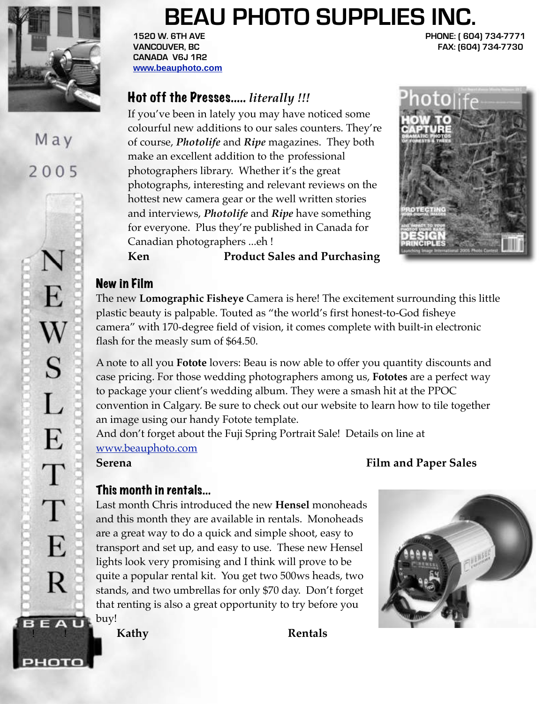

# May 2005

PHOTO

# **BEAU PHOTO SUPPLIES INC.**

**CANADA V6J 1R2 www.beauphoto.com**

**1520 W. 6TH AVE PHONE: ( 604) 734-7771 VANCOUVER, BC FAX: (604) 734-7730** 

## Hot off the Presses..... *literally !!!*

 If you've been in lately you may have noticed some colourful new additions to our sales counters. They're of course, *Photolife* and *Ripe* magazines. They both make an excellent addition to the professional photographers library. Whether it's the great photographs, interesting and relevant reviews on the hottest new camera gear or the well written stories and interviews, *Photolife* and *Ripe* have something for everyone. Plus they're published in Canada for Canadian photographers ...eh !



 **Ken Product Sales and Purchasing**

### New in Film

The new **Lomographic Fisheye** Camera is here! The excitement surrounding this little plastic beauty is palpable. Touted as "the world's first honest-to-God fisheye camera" with 170-degree field of vision, it comes complete with built-in electronic flash for the measly sum of \$64.50.

A note to all you **Fotote** lovers: Beau is now able to offer you quantity discounts and case pricing. For those wedding photographers among us, **Fototes** are a perfect way to package your client's wedding album. They were a smash hit at the PPOC convention in Calgary. Be sure to check out our website to learn how to tile together an image using our handy Fotote template.

And don't forget about the Fuji Spring Portrait Sale! Details on line at www.beauphoto.com

# This month in rentals...

Last month Chris introduced the new **Hensel** monoheads and this month they are available in rentals. Monoheads are a great way to do a quick and simple shoot, easy to transport and set up, and easy to use. These new Hensel lights look very promising and I think will prove to be quite a popular rental kit. You get two 500ws heads, two stands, and two umbrellas for only \$70 day. Don't forget that renting is also a great opportunity to try before you  $B E A U$ , buy!

**Serena Film and Paper Sales**



**Kathy Rentals**